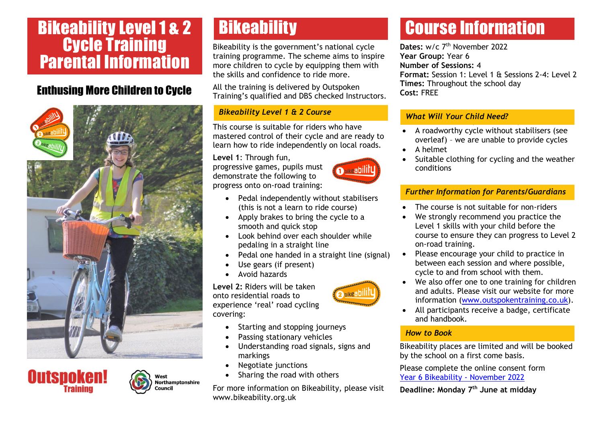## Bikeability Level 1 & 2 Cycle Training Parental Information

### Enthusing More Children to Cycle







Vest

ouncil

**Northamptonshire** 

Bikeability is the government's national cycle training programme. The scheme aims to inspire more children to cycle by equipping them with the skills and confidence to ride more.

All the training is delivered by Outspoken Training's qualified and DBS checked Instructors.

#### *Bikeability Level 1 & 2 Course*

This course is suitable for riders who have mastered control of their cycle and are ready to learn how to ride independently on local roads.

**Level 1**: Through fun, progressive games, pupils must demonstrate the following to progress onto on-road training:

- Pedal independently without stabilisers (this is not a learn to ride course)
- Apply brakes to bring the cycle to a smooth and quick stop
- Look behind over each shoulder while pedaling in a straight line
- Pedal one handed in a straight line (signal)
- Use gears (if present)
- Avoid hazards

**Level 2:** Riders will be taken onto residential roads to experience 'real' road cycling covering:

- Starting and stopping journeys
- Passing stationary vehicles
- Understanding road signals, signs and markings
- Negotiate junctions
- Sharing the road with others

For more information on Bikeability, please visit www.bikeability.org.uk

# **Bikeability Course Information**

Dates: w/c 7<sup>th</sup> November 2022 **Year Group:** Year 6 **Number of Sessions:** 4 **Format:** Session 1: Level 1 & Sessions 2-4: Level 2 **Times:** Throughout the school day **Cost:** FREE

#### *What Whit Four Child Need: What Will Your Child Need?*

- A roadworthy cycle without stabilisers (see overleaf) – we are unable to provide cycles
- A helmet
- Suitable clothing for cycling and the weather conditions

### *Further Information for Parents/Guardians*

- The course is not suitable for non-riders
- We strongly recommend you practice the Level 1 skills with your child before the course to ensure they can progress to Level 2 on-road training.
- Please encourage your child to practice in between each session and where possible, cycle to and from school with them.
- We also offer one to one training for children and adults. Please visit our website for more information [\(www.outspokentraining.co.uk\)](http://www.outspokentraining.co.uk/).
- All participants receive a badge, certificate and handbook.

#### *How to Book*

Bikeability places are limited and will be booked by the school on a first come basis.

Please complete the online consent form [Year 6 Bikeability -](https://forms.office.com/r/XKm2zMXGBP) November 2022

**Deadline: Monday 7th June at midday**





**2** bike abil